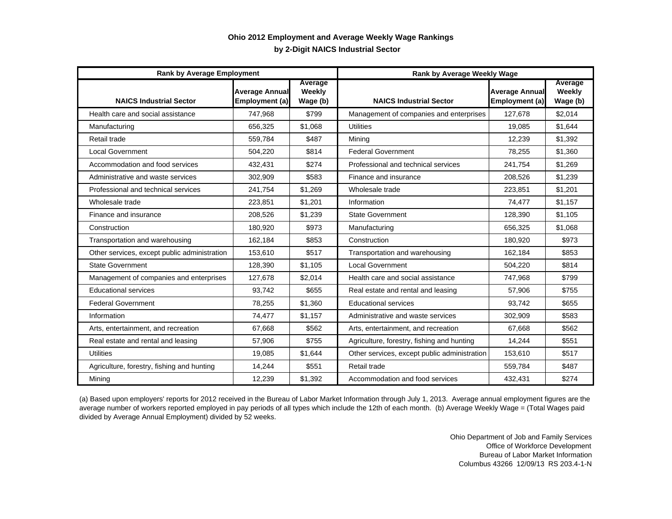## **by 2-Digit NAICS Industrial Sector Ohio 2012 Employment and Average Weekly Wage Rankings**

| <b>Rank by Average Employment</b>            |                                         |                               | <b>Rank by Average Weekly Wage</b>           |                                         |                               |
|----------------------------------------------|-----------------------------------------|-------------------------------|----------------------------------------------|-----------------------------------------|-------------------------------|
| <b>NAICS Industrial Sector</b>               | <b>Average Annual</b><br>Employment (a) | Average<br>Weekly<br>Wage (b) | <b>NAICS Industrial Sector</b>               | <b>Average Annual</b><br>Employment (a) | Average<br>Weekly<br>Wage (b) |
| Health care and social assistance            | 747,968                                 | \$799                         | Management of companies and enterprises      | 127,678                                 | \$2,014                       |
| Manufacturing                                | 656,325                                 | \$1,068                       | <b>Utilities</b>                             | 19,085                                  | \$1,644                       |
| Retail trade                                 | 559,784                                 | \$487                         | Mining                                       | 12,239                                  | \$1,392                       |
| <b>Local Government</b>                      | 504,220                                 | \$814                         | <b>Federal Government</b>                    | 78,255                                  | \$1,360                       |
| Accommodation and food services              | 432,431                                 | \$274                         | Professional and technical services          | 241,754                                 | \$1.269                       |
| Administrative and waste services            | 302,909                                 | \$583                         | Finance and insurance                        | 208,526                                 | \$1.239                       |
| Professional and technical services          | 241,754                                 | \$1,269                       | Wholesale trade                              | 223,851                                 | \$1,201                       |
| Wholesale trade                              | 223,851                                 | \$1.201                       | Information                                  | 74.477                                  | \$1.157                       |
| Finance and insurance                        | 208,526                                 | \$1.239                       | <b>State Government</b>                      | 128,390                                 | \$1,105                       |
| Construction                                 | 180,920                                 | \$973                         | Manufacturing                                | 656,325                                 | \$1,068                       |
| Transportation and warehousing               | 162,184                                 | \$853                         | Construction                                 | 180.920                                 | \$973                         |
| Other services, except public administration | 153,610                                 | \$517                         | Transportation and warehousing               | 162,184                                 | \$853                         |
| <b>State Government</b>                      | 128,390                                 | \$1.105                       | <b>Local Government</b>                      | 504.220                                 | \$814                         |
| Management of companies and enterprises      | 127,678                                 | \$2,014                       | Health care and social assistance            | 747,968                                 | \$799                         |
| <b>Educational services</b>                  | 93,742                                  | \$655                         | Real estate and rental and leasing           | 57,906                                  | \$755                         |
| <b>Federal Government</b>                    | 78,255                                  | \$1,360                       | <b>Educational services</b>                  | 93.742                                  | \$655                         |
| Information                                  | 74,477                                  | \$1,157                       | Administrative and waste services            | 302,909                                 | \$583                         |
| Arts, entertainment, and recreation          | 67,668                                  | \$562                         | Arts, entertainment, and recreation          | 67,668                                  | \$562                         |
| Real estate and rental and leasing           | 57,906                                  | \$755                         | Agriculture, forestry, fishing and hunting   | 14,244                                  | \$551                         |
| Utilities                                    | 19,085                                  | \$1,644                       | Other services, except public administration | 153,610                                 | \$517                         |
| Agriculture, forestry, fishing and hunting   | 14,244                                  | \$551                         | Retail trade                                 | 559,784                                 | \$487                         |
| Mining                                       | 12,239                                  | \$1.392                       | Accommodation and food services              | 432,431                                 | \$274                         |

(a) Based upon employers' reports for 2012 received in the Bureau of Labor Market Information through July 1, 2013. Average annual employment figures are the average number of workers reported employed in pay periods of all types which include the 12th of each month. (b) Average Weekly Wage = (Total Wages paid divided by Average Annual Employment) divided by 52 weeks.

> Ohio Department of Job and Family Services Office of Workforce Development Bureau of Labor Market Information Columbus 43266 12/09/13 RS 203.4-1-N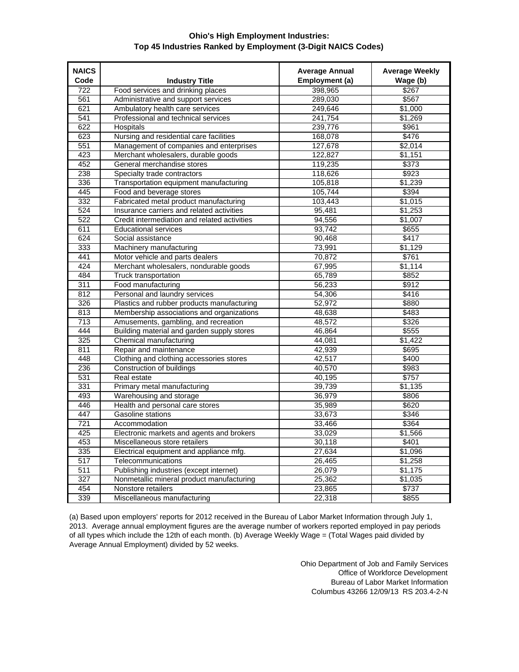## **Ohio's High Employment Industries: Top 45 Industries Ranked by Employment (3-Digit NAICS Codes)**

| <b>NAICS</b>     |                                              | <b>Average Annual</b> | <b>Average Weekly</b> |
|------------------|----------------------------------------------|-----------------------|-----------------------|
| Code             | <b>Industry Title</b>                        | Employment (a)        | Wage (b)              |
| 722              | Food services and drinking places            | 398,965               | \$267                 |
| 561              | Administrative and support services          | 289,030               | \$567                 |
| 621              | Ambulatory health care services              | 249,646               | \$1,000               |
| 541              | Professional and technical services          | 241,754               | \$1,269               |
| 622              | Hospitals                                    | 239,776               | \$961                 |
| 623              | Nursing and residential care facilities      | 168,078               | \$476                 |
| 551              | Management of companies and enterprises      | 127,678               | \$2,014               |
| 423              | Merchant wholesalers, durable goods          | 122,827               | \$1,151               |
| 452              | General merchandise stores                   | 119,235               | \$373                 |
| 238              | Specialty trade contractors                  | 118,626               | \$923                 |
| 336              | Transportation equipment manufacturing       | 105,818               | \$1,239               |
| 445              | Food and beverage stores                     | 105,744               | \$394                 |
| 332              | Fabricated metal product manufacturing       | 103,443               | \$1,015               |
| 524              | Insurance carriers and related activities    | 95,481                | \$1,253               |
| 522              | Credit intermediation and related activities | 94,556                | \$1,007               |
| 611              | <b>Educational services</b>                  | 93,742                | \$655                 |
| 624              | Social assistance                            | 90,468                | \$417                 |
| 333              | Machinery manufacturing                      | 73,991                | \$1.129               |
| 441              | Motor vehicle and parts dealers              | 70.872                | \$761                 |
| 424              | Merchant wholesalers, nondurable goods       | 67,995                | \$1,114               |
| 484              | <b>Truck transportation</b>                  | 65,789                | \$852                 |
| 311              | Food manufacturing                           | 56,233                | \$912                 |
| 812              | Personal and laundry services                | 54,306                | \$416                 |
| 326              | Plastics and rubber products manufacturing   | 52,972                | \$880                 |
| 813              | Membership associations and organizations    | 48,638                | \$483                 |
| 713              | Amusements, gambling, and recreation         | 48,572                | \$326                 |
| 444              | Building material and garden supply stores   | 46.864                | \$555                 |
| 325              | Chemical manufacturing                       | 44,081                | \$1,422               |
| 811              | Repair and maintenance                       | 42,939                | \$695                 |
| 448              | Clothing and clothing accessories stores     | 42,517                | \$400                 |
| 236              | Construction of buildings                    | 40,570                | \$983                 |
| 531              | Real estate                                  | 40,195                | \$757                 |
| 331              | Primary metal manufacturing                  | 39,739                | \$1,135               |
| 493              | Warehousing and storage                      | 36,979                | \$806                 |
| 446              | Health and personal care stores              | 35,989                | \$620                 |
| 447              | Gasoline stations                            | 33,673                | \$346                 |
| 721              | Accommodation                                | 33,466                | \$364                 |
| 425              | Electronic markets and agents and brokers    | 33,029                | \$1,566               |
| 453              | Miscellaneous store retailers                | 30,118                | \$401                 |
| 335              | Electrical equipment and appliance mfg.      | 27,634                | \$1,096               |
| 517              | Telecommunications                           | 26,465                | \$1,258               |
| $\overline{511}$ | Publishing industries (except internet)      | 26,079                | \$1,175               |
| 327              | Nonmetallic mineral product manufacturing    | 25,362                | \$1,035               |
| 454              | Nonstore retailers                           | 23,865                | \$737                 |
| 339              | Miscellaneous manufacturing                  | 22,318                | \$855                 |
|                  |                                              |                       |                       |

(a) Based upon employers' reports for 2012 received in the Bureau of Labor Market Information through July 1, 2013. Average annual employment figures are the average number of workers reported employed in pay periods of all types which include the 12th of each month. (b) Average Weekly Wage = (Total Wages paid divided by Average Annual Employment) divided by 52 weeks.

> Ohio Department of Job and Family Services Office of Workforce Development Bureau of Labor Market Information Columbus 43266 12/09/13 RS 203.4-2-N